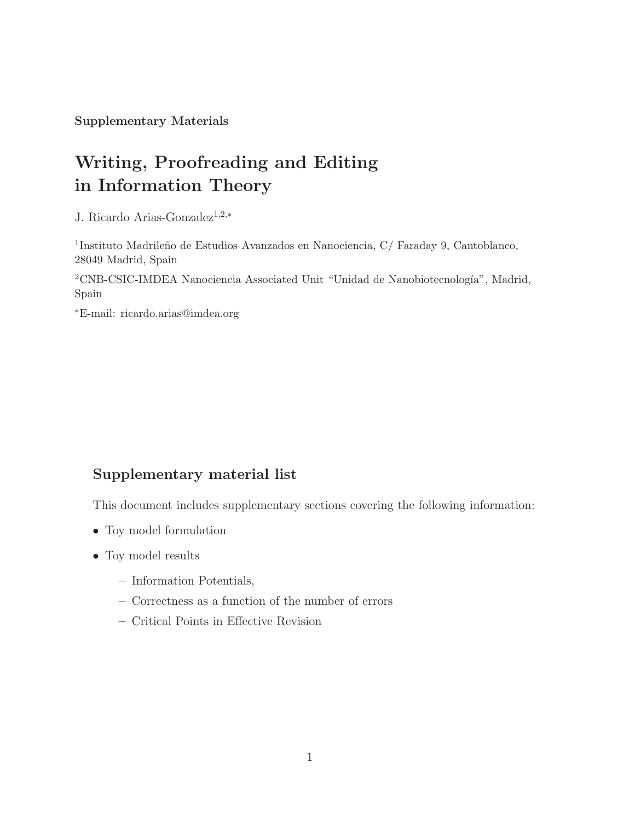Supplementary Materials

# Writing, Proofreading and Editing in Information Theory

J. Ricardo Arias-Gonzalez<sup>1</sup>,2,<sup>∗</sup>

<sup>1</sup>Instituto Madrileño de Estudios Avanzados en Nanociencia, C/ Faraday 9, Cantoblanco, 28049 Madrid, Spain

 $2$ CNB-CSIC-IMDEA Nanociencia Associated Unit "Unidad de Nanobiotecnología", Madrid, Spain

<sup>∗</sup>E-mail: ricardo.arias@imdea.org

### Supplementary material list

This document includes supplementary sections covering the following information:

- Toy model formulation
- Toy model results
	- Information Potentials,
	- Correctness as a function of the number of errors
	- Critical Points in Effective Revision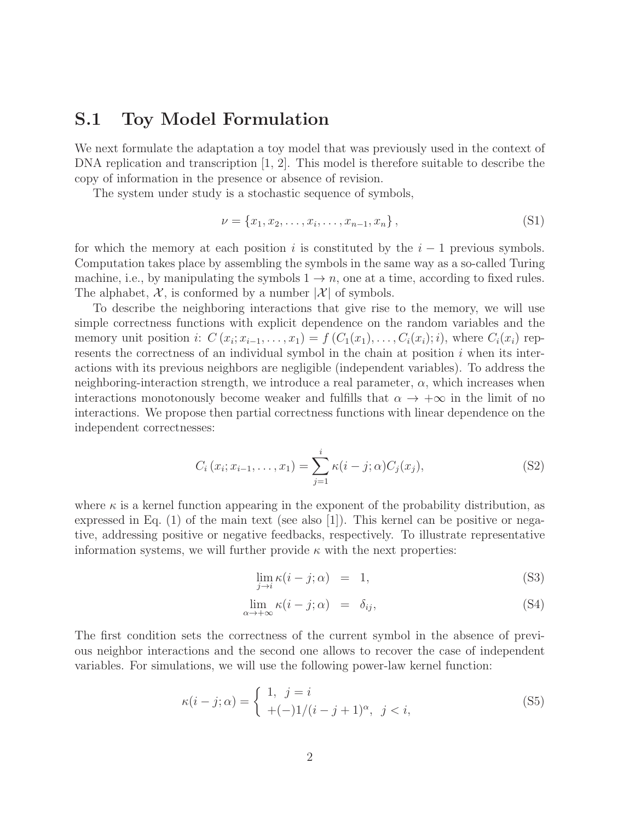### S.1 Toy Model Formulation

We next formulate the adaptation a toy model that was previously used in the context of DNA replication and transcription  $[1, 2]$ . This model is therefore suitable to describe the copy of information in the presence or absence of revision.

The system under study is a stochastic sequence of symbols,

$$
\nu = \{x_1, x_2, \dots, x_i, \dots, x_{n-1}, x_n\},\tag{S1}
$$

for which the memory at each position i is constituted by the  $i - 1$  previous symbols. Computation takes place by assembling the symbols in the same way as a so-called Turing machine, i.e., by manipulating the symbols  $1 \rightarrow n$ , one at a time, according to fixed rules. The alphabet,  $\mathcal{X}$ , is conformed by a number  $|\mathcal{X}|$  of symbols.

To describe the neighboring interactions that give rise to the memory, we will use simple correctness functions with explicit dependence on the random variables and the memory unit position *i*:  $C(x_i; x_{i-1},...,x_1) = f(C_1(x_1),...,C_i(x_i); i)$ , where  $C_i(x_i)$  represents the correctness of an individual symbol in the chain at position  $i$  when its interactions with its previous neighbors are negligible (independent variables). To address the neighboring-interaction strength, we introduce a real parameter,  $\alpha$ , which increases when interactions monotonously become weaker and fulfills that  $\alpha \to +\infty$  in the limit of no interactions. We propose then partial correctness functions with linear dependence on the independent correctnesses:

$$
C_i(x_i; x_{i-1},..., x_1) = \sum_{j=1}^i \kappa(i-j; \alpha) C_j(x_j),
$$
\n(S2)

where  $\kappa$  is a kernel function appearing in the exponent of the probability distribution, as expressed in Eq.  $(1)$  of the main text (see also [1]). This kernel can be positive or negative, addressing positive or negative feedbacks, respectively. To illustrate representative information systems, we will further provide  $\kappa$  with the next properties:

$$
\lim_{j \to i} \kappa(i - j; \alpha) = 1,
$$
\n(S3)

$$
\lim_{\alpha \to +\infty} \kappa(i - j; \alpha) = \delta_{ij}, \tag{S4}
$$

The first condition sets the correctness of the current symbol in the absence of previous neighbor interactions and the second one allows to recover the case of independent variables. For simulations, we will use the following power-law kernel function:

$$
\kappa(i-j;\alpha) = \begin{cases} 1, & j = i \\ +(-)1/(i-j+1)^{\alpha}, & j < i, \end{cases}
$$
 (S5)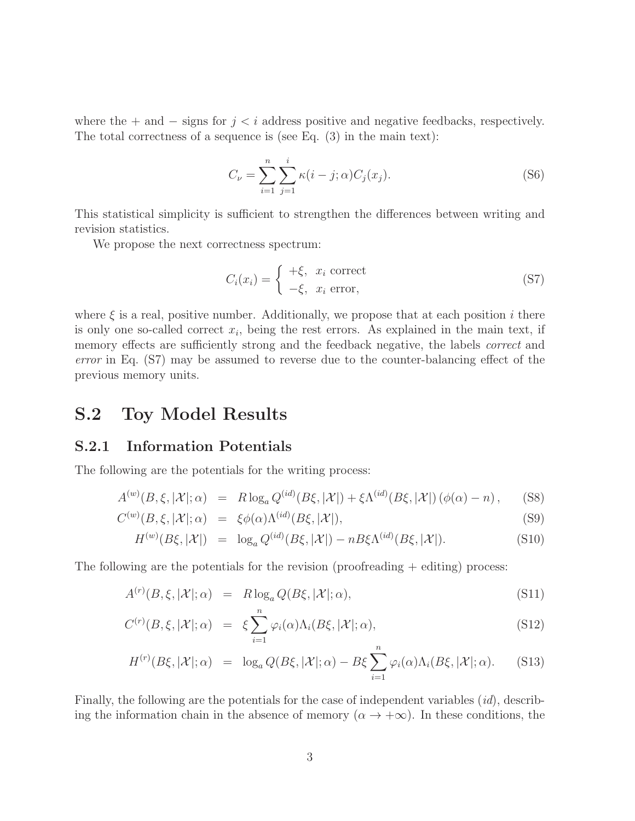where the + and  $-$  signs for  $j < i$  address positive and negative feedbacks, respectively. The total correctness of a sequence is (see Eq. (3) in the main text):

$$
C_{\nu} = \sum_{i=1}^{n} \sum_{j=1}^{i} \kappa(i - j; \alpha) C_{j}(x_{j}).
$$
 (S6)

This statistical simplicity is sufficient to strengthen the differences between writing and revision statistics.

We propose the next correctness spectrum:

$$
C_i(x_i) = \begin{cases} +\xi, & x_i \text{ correct} \\ -\xi, & x_i \text{ error}, \end{cases}
$$
 (S7)

where  $\xi$  is a real, positive number. Additionally, we propose that at each position i there is only one so-called correct  $x_i$ , being the rest errors. As explained in the main text, if memory effects are sufficiently strong and the feedback negative, the labels *correct* and error in Eq. (S7) may be assumed to reverse due to the counter-balancing effect of the previous memory units.

## S.2 Toy Model Results

#### S.2.1 Information Potentials

The following are the potentials for the writing process:

$$
A^{(w)}(B,\xi,|\mathcal{X}|;\alpha) = R \log_a Q^{(id)}(B\xi,|\mathcal{X}|) + \xi \Lambda^{(id)}(B\xi,|\mathcal{X}|) (\phi(\alpha) - n), \quad (S8)
$$

$$
C^{(w)}(B,\xi,|\mathcal{X}|;\alpha) = \xi \phi(\alpha) \Lambda^{(id)}(B\xi,|\mathcal{X}|), \tag{S9}
$$

$$
H^{(w)}(B\xi,|\mathcal{X}|) = \log_a Q^{(id)}(B\xi,|\mathcal{X}|) - nB\xi\Lambda^{(id)}(B\xi,|\mathcal{X}|). \tag{S10}
$$

The following are the potentials for the revision (proofreading  $+$  editing) process:

$$
A^{(r)}(B,\xi,|\mathcal{X}|;\alpha) = R \log_a Q(B\xi,|\mathcal{X}|;\alpha), \tag{S11}
$$

$$
C^{(r)}(B,\xi,|\mathcal{X}|;\alpha) = \xi \sum_{i=1}^{n} \varphi_i(\alpha) \Lambda_i(B\xi,|\mathcal{X}|;\alpha), \tag{S12}
$$

$$
H^{(r)}(B\xi,|\mathcal{X}|;\alpha) = \log_a Q(B\xi,|\mathcal{X}|;\alpha) - B\xi \sum_{i=1}^n \varphi_i(\alpha) \Lambda_i(B\xi,|\mathcal{X}|;\alpha).
$$
 (S13)

Finally, the following are the potentials for the case of independent variables (id), describing the information chain in the absence of memory  $(\alpha \to +\infty)$ . In these conditions, the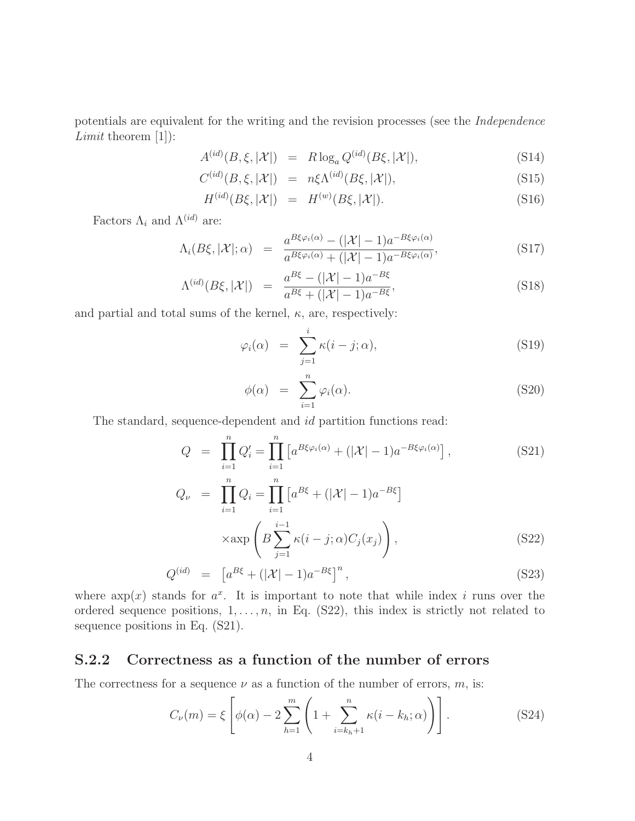potentials are equivalent for the writing and the revision processes (see the Independence Limit theorem [1]):

$$
A^{(id)}(B,\xi,|\mathcal{X}|) = R \log_a Q^{(id)}(B\xi,|\mathcal{X}|), \tag{S14}
$$

$$
C^{(id)}(B,\xi,|\mathcal{X}|) = n\xi \Lambda^{(id)}(B\xi,|\mathcal{X}|), \tag{S15}
$$

$$
H^{(id)}(B\xi,|\mathcal{X}|) = H^{(w)}(B\xi,|\mathcal{X}|). \tag{S16}
$$

Factors  $\Lambda_i$  and  $\Lambda^{(id)}$  are:

$$
\Lambda_i(B\xi,|\mathcal{X}|;\alpha) = \frac{a^{B\xi\varphi_i(\alpha)} - (|\mathcal{X}|-1)a^{-B\xi\varphi_i(\alpha)}}{a^{B\xi\varphi_i(\alpha)} + (|\mathcal{X}|-1)a^{-B\xi\varphi_i(\alpha)}},
$$
\n(S17)

$$
\Lambda^{(id)}(B\xi,|\mathcal{X}|) = \frac{a^{B\xi} - (|\mathcal{X}| - 1)a^{-B\xi}}{a^{B\xi} + (|\mathcal{X}| - 1)a^{-B\xi}},
$$
\n(S18)

and partial and total sums of the kernel,  $\kappa$ , are, respectively:

$$
\varphi_i(\alpha) = \sum_{j=1}^i \kappa(i-j;\alpha), \qquad (S19)
$$

$$
\phi(\alpha) = \sum_{i=1}^{n} \varphi_i(\alpha). \tag{S20}
$$

The standard, sequence-dependent and id partition functions read:

$$
Q = \prod_{i=1}^{n} Q'_i = \prod_{i=1}^{n} \left[ a^{B\xi\varphi_i(\alpha)} + (|\mathcal{X}| - 1)a^{-B\xi\varphi_i(\alpha)} \right],
$$
\n(S21)  
\n
$$
Q_{\nu} = \prod_{i=1}^{n} Q_i = \prod_{i=1}^{n} \left[ a^{B\xi} + (|\mathcal{X}| - 1)a^{-B\xi} \right]
$$
\n
$$
\times \exp\left( B \sum_{j=1}^{i-1} \kappa(i - j; \alpha) C_j(x_j) \right),
$$
\n(S22)

$$
Q^{(id)} = \left[ a^{B\xi} + (|\mathcal{X}| - 1)a^{-B\xi} \right]^n, \tag{S23}
$$

where  $\exp(x)$  stands for  $a^x$ . It is important to note that while index i runs over the ordered sequence positions,  $1, \ldots, n$ , in Eq. (S22), this index is strictly not related to sequence positions in Eq. (S21).

#### S.2.2 Correctness as a function of the number of errors

The correctness for a sequence  $\nu$  as a function of the number of errors,  $m$ , is:

$$
C_{\nu}(m) = \xi \left[ \phi(\alpha) - 2 \sum_{h=1}^{m} \left( 1 + \sum_{i=k_h+1}^{n} \kappa(i - k_h; \alpha) \right) \right].
$$
 (S24)